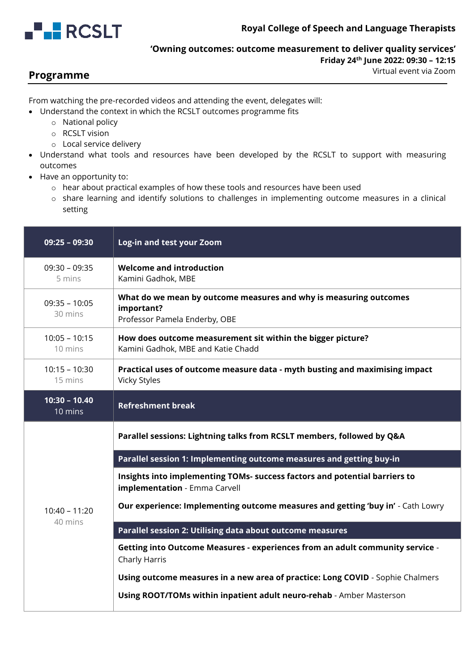

## **'Owning outcomes: outcome measurement to deliver quality services' Friday 24th June 2022: 09:30 – 12:15**

**Programme**

Virtual event via Zoom

From watching the pre-recorded videos and attending the event, delegates will:

• Understand the context in which the RCSLT outcomes programme fits

- o National policy
- o RCSLT vision
- o Local service delivery
- Understand what tools and resources have been developed by the RCSLT to support with measuring outcomes
- Have an opportunity to:
	- o hear about practical examples of how these tools and resources have been used
	- o share learning and identify solutions to challenges in implementing outcome measures in a clinical setting

| $09:25 - 09:30$            | Log-in and test your Zoom                                                                                        |
|----------------------------|------------------------------------------------------------------------------------------------------------------|
| $09:30 - 09:35$<br>5 mins  | <b>Welcome and introduction</b><br>Kamini Gadhok, MBE                                                            |
| $09:35 - 10:05$<br>30 mins | What do we mean by outcome measures and why is measuring outcomes<br>important?<br>Professor Pamela Enderby, OBE |
| $10:05 - 10:15$<br>10 mins | How does outcome measurement sit within the bigger picture?<br>Kamini Gadhok, MBE and Katie Chadd                |
| $10:15 - 10:30$<br>15 mins | Practical uses of outcome measure data - myth busting and maximising impact<br><b>Vicky Styles</b>               |
| $10:30 - 10.40$<br>10 mins | <b>Refreshment break</b>                                                                                         |
| $10:40 - 11:20$            | Parallel sessions: Lightning talks from RCSLT members, followed by Q&A                                           |
|                            | Parallel session 1: Implementing outcome measures and getting buy-in                                             |
|                            | Insights into implementing TOMs- success factors and potential barriers to<br>implementation - Emma Carvell      |
|                            | Our experience: Implementing outcome measures and getting 'buy in' - Cath Lowry                                  |
|                            |                                                                                                                  |
| 40 mins                    | Parallel session 2: Utilising data about outcome measures                                                        |
|                            | Getting into Outcome Measures - experiences from an adult community service -<br>Charly Harris                   |
|                            | Using outcome measures in a new area of practice: Long COVID - Sophie Chalmers                                   |